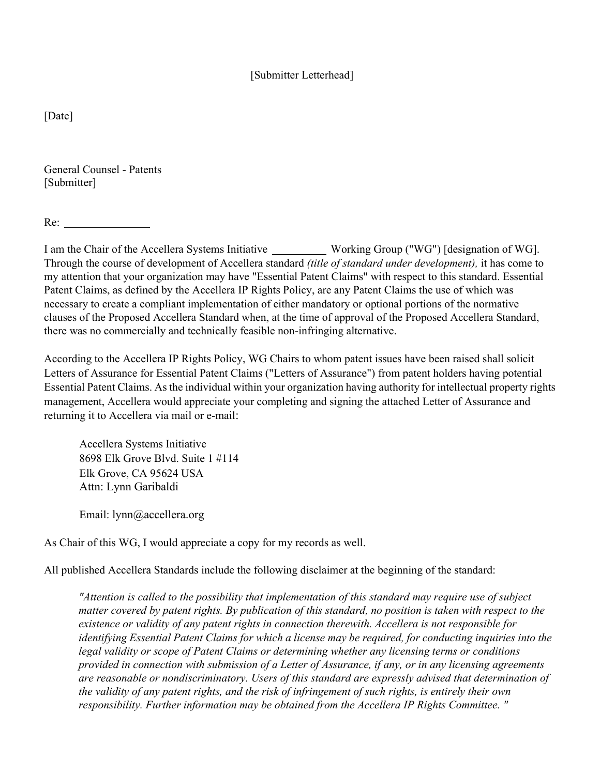## [Submitter Letterhead]

[Date]

General Counsel - Patents [Submitter]

Re:

I am the Chair of the Accellera Systems Initiative Working Group ("WG") [designation of WG]. Through the course of development of Accellera standard *(title of standard under development),* it has come to my attention that your organization may have "Essential Patent Claims" with respect to this standard. Essential Patent Claims, as defined by the Accellera IP Rights Policy, are any Patent Claims the use of which was necessary to create a compliant implementation of either mandatory or optional portions of the normative clauses of the Proposed Accellera Standard when, at the time of approval of the Proposed Accellera Standard, there was no commercially and technically feasible non-infringing alternative.

According to the Accellera IP Rights Policy, WG Chairs to whom patent issues have been raised shall solicit Letters of Assurance for Essential Patent Claims ("Letters of Assurance") from patent holders having potential Essential Patent Claims. As the individual within your organization having authority for intellectual property rights management, Accellera would appreciate your completing and signing the attached Letter of Assurance and returning it to Accellera via mail or e-mail:

Accellera Systems Initiative 8698 Elk Grove Blvd. Suite 1 #114 Elk Grove, CA 95624 USA Attn: Lynn Garibaldi

Email: lynn@accellera.org

As Chair of this WG, I would appreciate a copy for my records as well.

All published Accellera Standards include the following disclaimer at the beginning of the standard:

*"Attention is called to the possibility that implementation of this standard may require use of subject matter covered by patent rights. By publication of this standard, no position is taken with respect to the existence or validity of any patent rights in connection therewith. Accellera is not responsible for identifying Essential Patent Claims for which a license may be required, for conducting inquiries into the legal validity or scope of Patent Claims or determining whether any licensing terms or conditions provided in connection with submission of a Letter of Assurance, if any, or in any licensing agreements are reasonable or nondiscriminatory. Users of this standard are expressly advised that determination of the validity of any patent rights, and the risk of infringement of such rights, is entirely their own responsibility. Further information may be obtained from the Accellera IP Rights Committee. "*